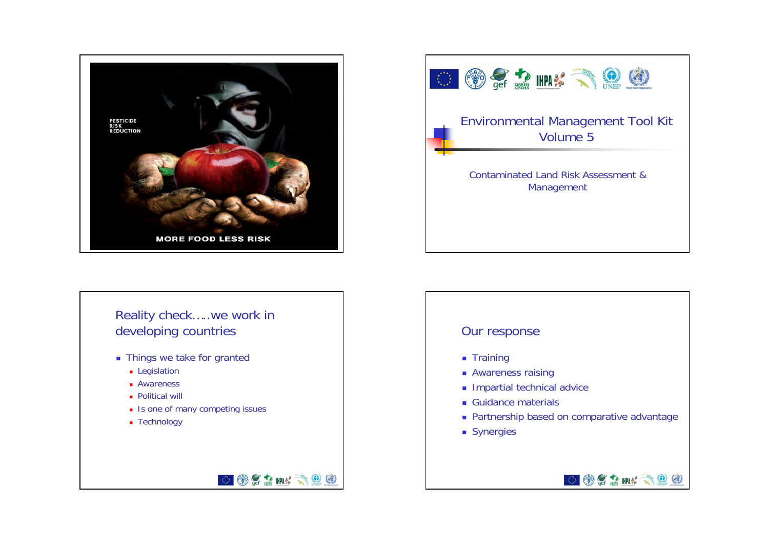





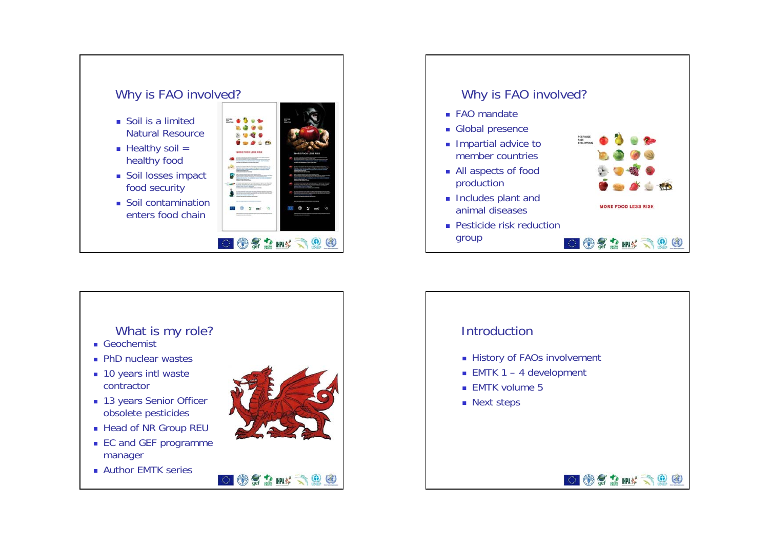





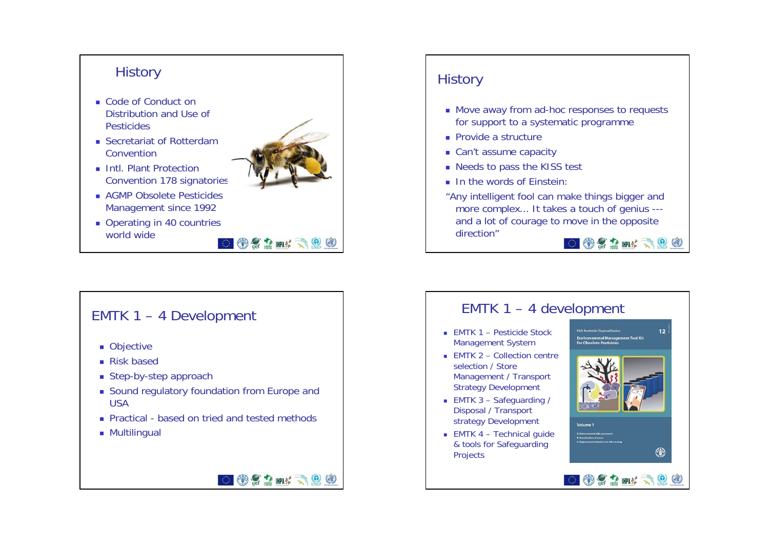

**OSEM ROO** 

#### EMTK 1 – 4 Development

- Objective
- Risk based
- Step-by-step approach
- Sound regulatory foundation from Europe and USA
- Practical based on tried and tested methods
- **Multilingual**

## **History**

- Move away from ad-hoc responses to requests for support to a systematic programme
- **Provide a structure**
- Can't assume capacity
- Needs to pass the KISS test
- In the words of Einstein:
- "Any intelligent fool can make things bigger and more complex... It takes a touch of genius -- and a lot of courage to move in the opposite direction" $\odot$   $\odot$   $\ddot{\odot}$  and  $\odot$   $\odot$   $\odot$

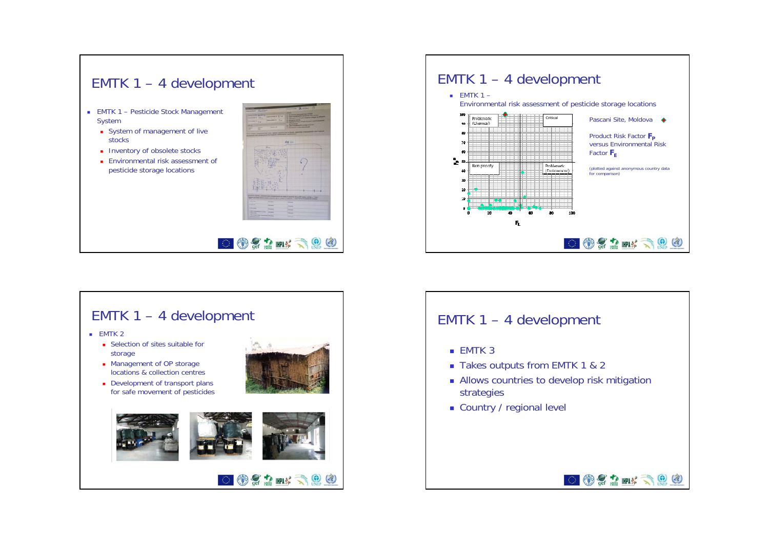#### EMTK 1 – 4 development

- EMTK 1 Pesticide Stock Management System
	- **System of management of live** stocks
	- **Inventory of obsolete stocks**
	- Environmental risk assessment of pesticide storage locations







### EMTK 1 – 4 development

- $\blacksquare$  EMTK 3
- Takes outputs from EMTK 1 & 2
- **Allows countries to develop risk mitigation** strategies

**OCOMYROG** 

■ Country / regional level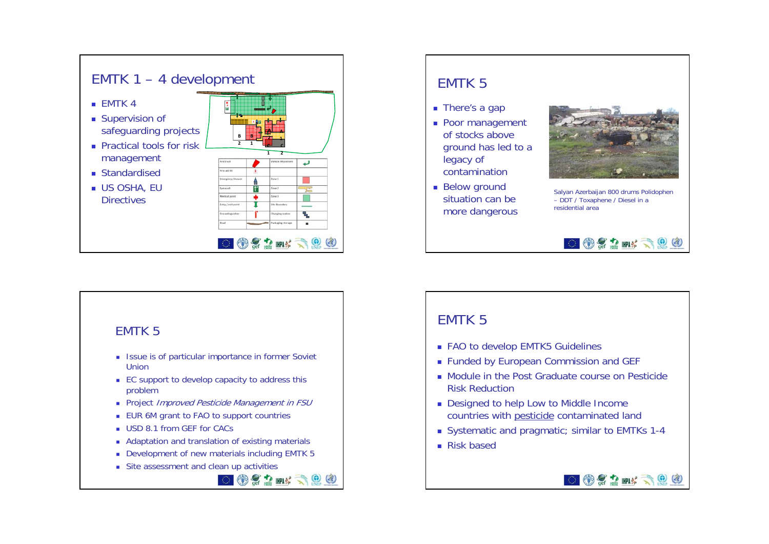

#### EMTK 5

- **ISSUE IS OF particular importance in former Soviet** Union
- EC support to develop capacity to address this problem
- **Project** *Improved Pesticide Management in FSU*
- EUR 6M grant to FAO to support countries
- USD 8.1 from GEF for CACs
- **Adaptation and translation of existing materials**
- Development of new materials including EMTK 5

 $@21$  mx  $@0$ 

Site assessment and clean up activities

# ■ There's a gap **Poor management** EMTK 5

- of stocks above ground has led to a legacy of contamination
- Below ground situation can be more dangerous



Salyan Azerbaijan 800 drums Polidophen – DDT / Toxaphene / Diesel in a residential area

 $\odot$   $\odot$   $\ddot{\odot}$  and  $\odot$   $\odot$   $\odot$ 

## EMTK 5

- FAO to develop EMTK5 Guidelines
- Funded by European Commission and GEF
- Module in the Post Graduate course on Pesticide Risk Reduction
- Designed to help Low to Middle Income countries with pesticide contaminated land
- Systematic and pragmatic; similar to EMTKs 1-4
- Risk based

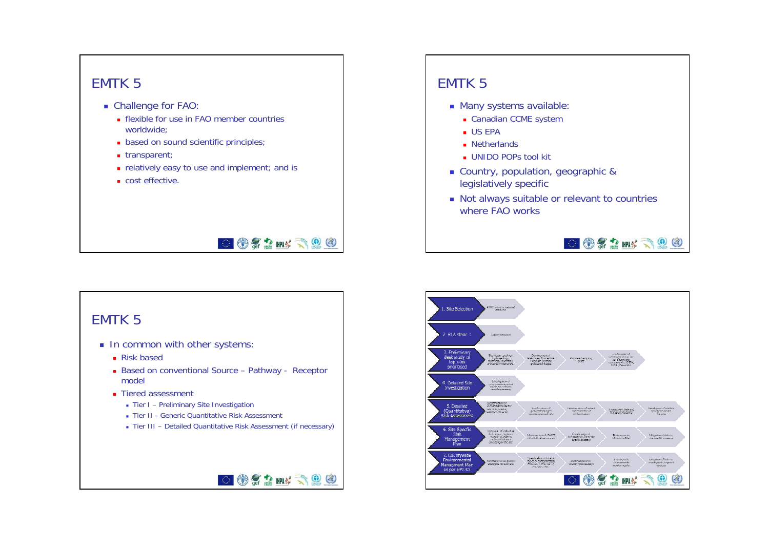### EMTK 5

- Challenge for FAO:
	- **flexible for use in FAO member countries** worldwide;
	- **based on sound scientific principles**;
	- transparent;
	- **n** relatively easy to use and implement; and is
	- cost effective.

## **DOCAM: 300**

OCEN SOO

#### EMTK 5

- **In common with other systems:** 
	- Risk based
	- Based on conventional Source Pathway Receptor model
	- Tiered assessment
		- Tier I Preliminary Site Investigation
		- Tier II Generic Quantitative Risk Assessment
		- Tier III Detailed Quantitative Risk Assessment (if necessary)

### EMTK 5

- Many systems available:
	- Canadian CCME system
	- US EPA
	- **Netherlands**
	- UNIDO POPs tool kit
- Country, population, geographic & legislatively specific
- Not always suitable or relevant to countries where FAO works

OCOMSOO